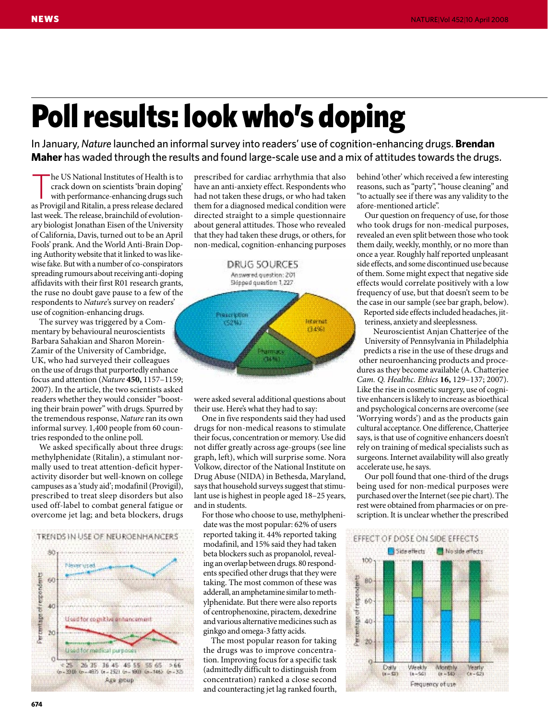# Poll results: look who's doping

In January, *Nature* launched an informal survey into readers' use of cognition-enhancing drugs. **Brendan Maher** has waded through the results and found large-scale use and a mix of attitudes towards the drugs.

The US National Institutes of Health is to<br>
crack down on scientists 'brain doping'<br>
with performance-enhancing drugs such<br>
as Devicil and Ditalin crack down on scientists 'brain doping' as Provigil and Ritalin, a press release declared last week. The release, brainchild of evolutionary biologist Jonathan Eisen of the University of California, Davis, turned out to be an April Fools' prank. And the World Anti-Brain Doping Authority website that it linked to was likewise fake. But with a number of co-conspirators spreading rumours about receiving anti-doping affidavits with their first R01 research grants, the ruse no doubt gave pause to a few of the respondents to *Nature*'s survey on readers' use of cognition-enhancing drugs.

The survey was triggered by a Commentary by behavioural neuroscientists Barbara Sahakian and Sharon Morein-Zamir of the University of Cambridge, UK, who had surveyed their colleagues on the use of drugs that purportedly enhance focus and attention (*Nature* **450,** 1157–1159; 2007). In the article, the two scientists asked readers whether they would consider "boosting their brain power" with drugs. Spurred by the tremendous response, *Nature* ran its own informal survey. 1,400 people from 60 countries responded to the online poll.

We asked specifically about three drugs: methylphenidate (Ritalin), a stimulant normally used to treat attention-deficit hyperactivity disorder but well-known on college campuses as a 'study aid'; modafinil (Provigil), prescribed to treat sleep disorders but also used off-label to combat general fatigue or overcome jet lag; and beta blockers, drugs



prescribed for cardiac arrhythmia that also have an anti-anxiety effect. Respondents who had not taken these drugs, or who had taken them for a diagnosed medical condition were directed straight to a simple questionnaire about general attitudes. Those who revealed that they had taken these drugs, or others, for non-medical, cognition-enhancing purposes



were asked several additional questions about their use. Here's what they had to say:

One in five respondents said they had used drugs for non-medical reasons to stimulate their focus, concentration or memory. Use did not differ greatly across age-groups (see line graph, left), which will surprise some. Nora Volkow, director of the National Institute on Drug Abuse (NIDA) in Bethesda, Maryland, says that household surveys suggest that stimulant use is highest in people aged 18–25 years, and in students.

For those who choose to use, methylphenidate was the most popular: 62% of users reported taking it. 44% reported taking modafinil, and 15% said they had taken beta blockers such as propanolol, revealing an overlap between drugs. 80 respondents specified other drugs that they were taking. The most common of these was adderall, an amphetamine similar to methylphenidate. But there were also reports of centrophenoxine, piractem, dexedrine and various alternative medicines such as ginkgo and omega-3 fatty acids.

The most popular reason for taking the drugs was to improve concentration. Improving focus for a specific task (admittedly difficult to distinguish from concentration) ranked a close second and counteracting jet lag ranked fourth, behind 'other' which received a few interesting reasons, such as "party", "house cleaning" and "to actually see if there was any validity to the afore-mentioned article".

Our question on frequency of use, for those who took drugs for non-medical purposes, revealed an even split between those who took them daily, weekly, monthly, or no more than once a year. Roughly half reported unpleasant side effects, and some discontinued use because of them. Some might expect that negative side effects would correlate positively with a low frequency of use, but that doesn't seem to be the case in our sample (see bar graph, below).

Reported side effects included headaches, jitteriness, anxiety and sleeplessness.

Neuroscientist Anjan Chatterjee of the University of Pennsylvania in Philadelphia predicts a rise in the use of these drugs and other neuroenhancing products and procedures as they become available (A. Chatterjee *Cam. Q. Healthc. Ethics* **16,** 129–137; 2007). Like the rise in cosmetic surgery, use of cognitive enhancers is likely to increase as bioethical and psychological concerns are overcome (see 'Worrying words') and as the products gain cultural acceptance. One difference, Chatterjee says, is that use of cognitive enhancers doesn't rely on training of medical specialists such as surgeons. Internet availability will also greatly accelerate use, he says.

Our poll found that one-third of the drugs being used for non-medical purposes were purchased over the Internet (see pie chart). The rest were obtained from pharmacies or on prescription. It is unclear whether the prescribed